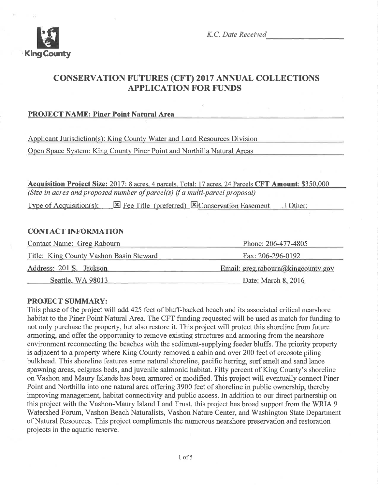

K.C. Date Received

## CONSERVATION FUTURES (CFT) 2017 ANNUAL COLLECTTONS APPLICATION FOR FUNDS

### PROJECT NAME: Piner Point Natural Area

Applicant Jurisdiction(s): Kine Countv Water and Land Resources Division Open Space System: King County Piner Point and Northilla Natural Areas

Acquisition Project Size: 2017: 8 acres. 4 parcels. Total: 17 acres. 24 Parcels CFT Amount: \$350,000 (Size in acres and proposed number of parcel(s) if a multi-parcel þroposal)

Type of Acquisition(s):  $\boxtimes$  Fee Title (preferred)  $\boxtimes$  Conservation Easement  $\Box$  Other:

#### CONTACT INFORMATION

| <b>Contact Name: Greg Rabourn</b>       | Phone: 206-477-4805<br>Fax: 206-296-0192 |  |
|-----------------------------------------|------------------------------------------|--|
| Title: King County Vashon Basin Steward |                                          |  |
| Address: 201 S. Jackson                 | Email: greg.rabourn@kingcounty.gov       |  |
| Seattle, WA 98013                       | Date: March 8, 2016                      |  |

#### PROJECT SUMMARY:

This phase of the project will add 425 feet of bluff-backed beach and its associated critical nearshore habitat to the Piner Point Natural Area. The CFT funding requested will be used as match for funding to not only purchase the property, but also restore it. This project will protect this shoreline from future armoring, and offer the opportunity to remove existing structures and armoring from the nearshore environment reconnecting the beaches with the sediment-supplying feeder bluffs. The priority property is adjacent to a property where King County removed a cabin and over 200 feet of creosote piling bulkhead. This shoreline features some natural shoreline, pacific herring, surf smelt and sand lance spawning areas, eelgrass beds, and juvenile salmonid habitat. Fifty percent of King County's shoreline on Vashon and Maury Islands has been armored or modified. This project will eventually connect Piner Point and Northilla into one natural area offering 3900 feet of shoreline in public ownership, thereby improving management, habitat connectivity and public access. In addition to our direct partnership on this project with the Vashon-Maury Island Land Trust, this project has broad support from the WRIA 9 Watershed Forum, Vashon Beach Naturalists, Vashon Nature Center, and Washington State Department of Natural Resources. This project compliments the numerous nearshore preservation and restoration projects in the aquatic reserve.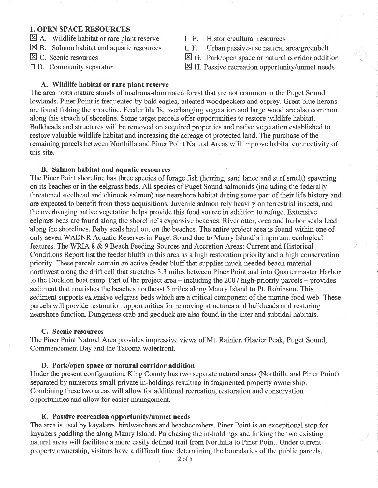### 1. OPEN SPACE RESOURCES

- $\Xi$  A. Wildlife habitat or rare plant reserve
- $\Xi$  B. Salmon habitat and aquatic resources
- E C. Scenic resources
- $\Box$  D. Community separator
- $\Box$  E. Historic/cultural resources
- $\Box$  F. Urban passive-use natural area/greenbelt
- $\boxtimes$  G. Park/open space or natural corridor addition
- $\boxtimes$  H. Passive recreation opportunity/unmet needs

#### A. Wildlife habitat or rare plant reserve

The area hosts mature stands of madrona-dominated forest that are not common in the Puget Sound lowlands. Piner Point is frequented by bald eagles, pileated woodpeckers and osprey. Great blue herons are found fishing the shoreline. Feeder bluffs, overhangihg vegetation and large wood are also common along this stretch of shoreline. Some target parcels offer opportunities to restore wildlife habitat. Bulkheads and structures will be removed on acquired properties and native vegetation established to restore valuable wildlife habitat and increasing the acreage of protected land. The purchase of the remaining parcels between Northilla and Piner Point Natural Areas will improve habitat connectivity of this site.

#### B. Salmon habitat and aquatic resources

The Piner Point shoreline has three species of forage fish (herring, sand lance and surf smelt) spawning on its beaches or in the eelgrass beds. All species of Puget Sound salmonids (including the federally threatened steelhead and chinook salmon) use nearshore habitat during some part of their life history and are expected to benefit from these acquisitions. Juvenile salmon rely heavily on terrestrial insects, and the overhanging native vegetation helps provide this food source in addition to refuge. Extensive eelgrass beds are found along the shoreline's expansive beaches. River otter, orca and harbor seals feed 'along the shorelines. Baby seals haul out on the beaches. The entire project area is found within one of only seven WADNR Aquatic Reserves in Puget Sound due to Maury Island's important ecological features. The WRIA 8 & 9 Beach Feeding Sources and Accretion Areas: Current and Historical Conditions Report list the feeder blufß in this area as a high restoration priority and ahigh conservation priority. These parcels contain an active feeder bluff that supplies much-needed beach material northwest along the drift cell that stretches 3.3 miles between Piner Point and into Quartermaster Harbor to the Dockton boat ramp. Part of the project area – including the 2007 high-priority parcels – provides sediment that nourishes the beaches northeast 5 miles along Maury Island to Pt. Robinson. This sediment supports extensive eelgrass beds which are a critical component of the marine food web. These parcels will provide restoration opportunities for removing structures and bulkheads and restoring nearshore function. Dungeness crab and geoduck are also found in the inter and subtidal habitats.

#### C. Scenic resources

The Piner Point Natural Area provides impressive views of Mt. Rainier, Glacier Peak, Puget Sound, Commencement Bay and the Tacoma waterfront.

#### D. Park/open space or natural corridor addition

Under the present configuration, King County has two separate natural areas (Northilla and Piner Point) separated by numerous small private in-holdings resulting in fragmented property ownership. Combining these two areas will allow for additional recreation, restoration and conservation opportunities and allow for easier management.

#### E. Passive recreation opportunity/unmet needs

The area is used by kayakers, birdwatchers and beachcombers. Piner Point is an exceptional stop for kayakers paddling the along Maury Island. Purchasing the in-holdings and linking the two existing natural areas will facilitate a more easily defined trail from Northilla to Piner Point. Under current property ownership, visitors have a difficult time determining the boundaries of the public parcels.

2of5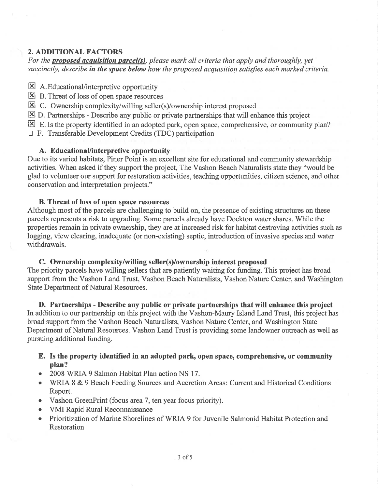### 2. ADDITIONAL FACTORS

For the **proposed acquisition parcel(s)**, please mark all criteria that apply and thoroughly, yet succinctly, describe in the space below how the proposed acquisition satisfies each marked criteria.

- $\boxtimes$  A. Educational/interpretive opportunity
- $\boxtimes$  B. Threat of loss of open space resources
- $\boxtimes$  C. Ownership complexity/willing seller(s)/ownership interest proposed
- $\boxtimes$  D. Partnerships Describe any public or private partnerships that will enhance this project

 $\boxtimes$  E. Is the property identified in an adopted park, open space, comprehensive, or community plan?

 $\Box$  F. Transferable Development Credits (TDC) participation

### A. EducationaUinterpretive opportunity

Due to its varied habitats, Piner Point is an excellent site for educational and community stewardship activities. When asked if they support the project, The Vashon Beach Naturalists state they "would be glad to volunteer our support for restoration activities, teaching opportunities, citizen science, and other conservation and interpretation projects."

#### B. Threat of loss of open space resources

Although most of the parcels are challenging to build on, the presence of existing structures on these parcels represents a risk to upgrading. Some parcels already have Dockton water shares. While the properties remain in private ownership, they arc at increased risk for habitat destroying activities such as logging, view clearing, inadequate (or non-existing) septic, introduction of invasive species and water withdrawals.

### C. Ownership complexity/willing seller(s)/ownership interest proposed

The priority parcels have willing sellers that are patiently waiting for funding. This project has broad support from the Vashon Land Trust, Vashon Beach Naturalists, Vashon Nature Center, and Washington State Department of Natural Resources.

D. Partnerships - Describe any public or private partnerships that will enhance this project In addition to our partnership on this project with the Vashon-Maury Island Land Trust, this project has broad support from the Vashon Beach Naturalists, Vashon Nature Center, and Washington State Department of Natural Resources. Vashon Land Trust is providing some landowner outreach as well as pursuing additional funding.

- E. Is the property identified in an adopted park, open space, comprehensive, or community plan?
- 2008 WRIA 9 Salmon Habitat Plan action NS 17.
- WRIA 8 & 9 Beach Feeding Sources and Accretion Areas: Current and Historical Conditions Report.
- o Vashon GreenPrint (focus area7, ten year focus priority).
- o VMI Rapid Rural Reconnaissance
- o Prioritization of Marine Shorelines of WRIA 9 for Juvenile Salmonid Habitat Protection and Restoration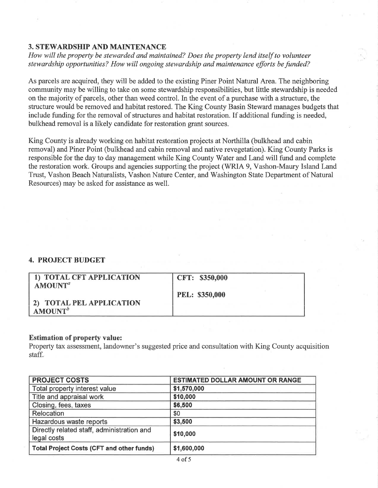### 3. STEWARDSHIP AND MAINTENANCE

How will the property be stewarded and maintained? Does the property lend itself to volunteer stewardship opportunities? How will ongoing stewardship and maintenance efforts be funded?

As parcels are acquired, they will be added to the existing Piner Point Natural Area. The neighboring community may be willing to take on some stewardship responsibilities, but little stewardship is needed on the majority of parcels, other than weed control. In the event of a purchase with a structure, the structure would be removed and habitat restored. The King County Basin Steward manages budgets that include funding for the removal of structures and habitat restoration. If additional funding is needed, bulkhead removal is a likely candidate for restoration grant sources.

King County is already working on habitat restoration projects at Northilla (bulkhead and cabin removal) and Piner Point (bulkhead and cabin removal and native revegetation). King County Parks is responsible for the day to day management while King County Water and Land will fund and complete the restoration work. Groups and agencies supporting the project (WRIA 9, Vashon-Maury Island Land Trust, Vashon Beach Naturalists, Vashon Nature Center, and Washington State Department of Natural Resources) may be asked for assistance as well.

### 4. PROJECT BUDGET

| 1) TOTAL CFT APPLICATION<br>AMOUNT <sup>a</sup> | CFT: \$350,000        |
|-------------------------------------------------|-----------------------|
| 2) TOTAL PEL APPLICATION<br>AMOUNT <sup>b</sup> | <b>PEL: \$350,000</b> |

#### Estimation of property value:

Property tax assessment, landowner's suggested price and consultation with King County acquisition staff.

| <b>PROJECT COSTS</b>                                      | <b>ESTIMATED DOLLAR AMOUNT OR RANGE</b> |
|-----------------------------------------------------------|-----------------------------------------|
| Total property interest value                             | \$1,570,000                             |
| Title and appraisal work                                  | \$10,000                                |
| Closing, fees, taxes                                      | \$6,500                                 |
| Relocation                                                | \$0                                     |
| Hazardous waste reports                                   | \$3,500                                 |
| Directly related staff, administration and<br>legal costs | \$10,000                                |
| <b>Total Project Costs (CFT and other funds)</b>          | \$1,600,000                             |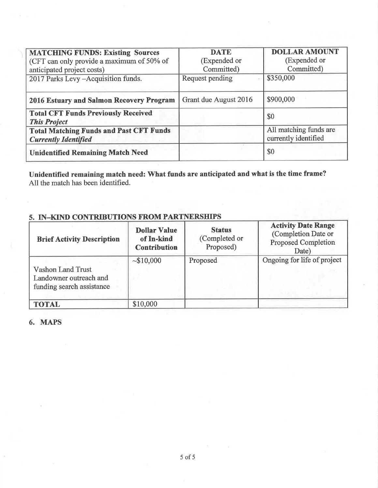| <b>MATCHING FUNDS: Existing Sources</b>                           | <b>DATE</b>           | <b>DOLLAR AMOUNT</b>   |
|-------------------------------------------------------------------|-----------------------|------------------------|
| (CFT can only provide a maximum of 50% of                         | (Expended or          | (Expended or           |
| anticipated project costs)                                        | Committed)            | Committed)             |
| 2017 Parks Levy - Acquisition funds.                              | Request pending       | \$350,000              |
|                                                                   |                       |                        |
| 2016 Estuary and Salmon Recovery Program                          | Grant due August 2016 | \$900,000              |
| <b>Total CFT Funds Previously Received</b><br><b>This Project</b> |                       | \$0                    |
| <b>Total Matching Funds and Past CFT Funds</b>                    |                       | All matching funds are |
| <b>Currently Identified</b>                                       |                       | currently identified   |
| <b>Unidentified Remaining Match Need</b>                          |                       | \$0                    |

Unidentified remaining match need: What funds are anticipated and what is the time frame? All the match has been identified.

### 5. IN-KIND CONTRIBUTIONS FROM PARTNERSHIPS

| <b>Brief Activity Description</b>                                               | <b>Dollar Value</b><br>of In-kind<br><b>Contribution</b> | <b>Status</b><br>(Completed or<br>Proposed) | <b>Activity Date Range</b><br>(Completion Date or<br><b>Proposed Completion</b><br>Date) |
|---------------------------------------------------------------------------------|----------------------------------------------------------|---------------------------------------------|------------------------------------------------------------------------------------------|
| <b>Vashon Land Trust</b><br>Landowner outreach and<br>funding search assistance | ~10,000                                                  | Proposed                                    | Ongoing for life of project                                                              |
| <b>TOTAL</b>                                                                    | \$10,000                                                 |                                             |                                                                                          |

#### 6. MAPS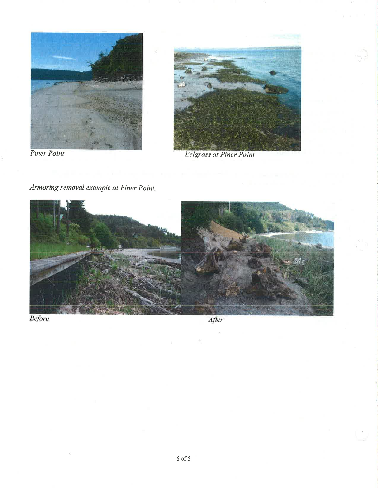

Armoring removal example at Piner Point.





Eelgrass at Piner Point



Before

After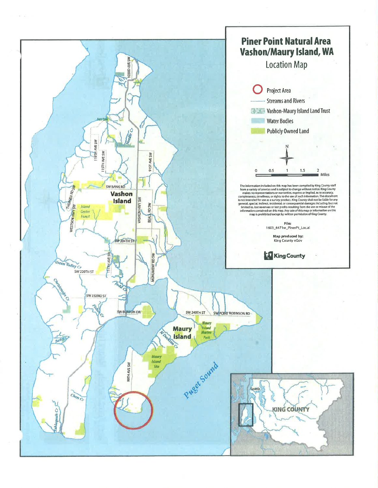